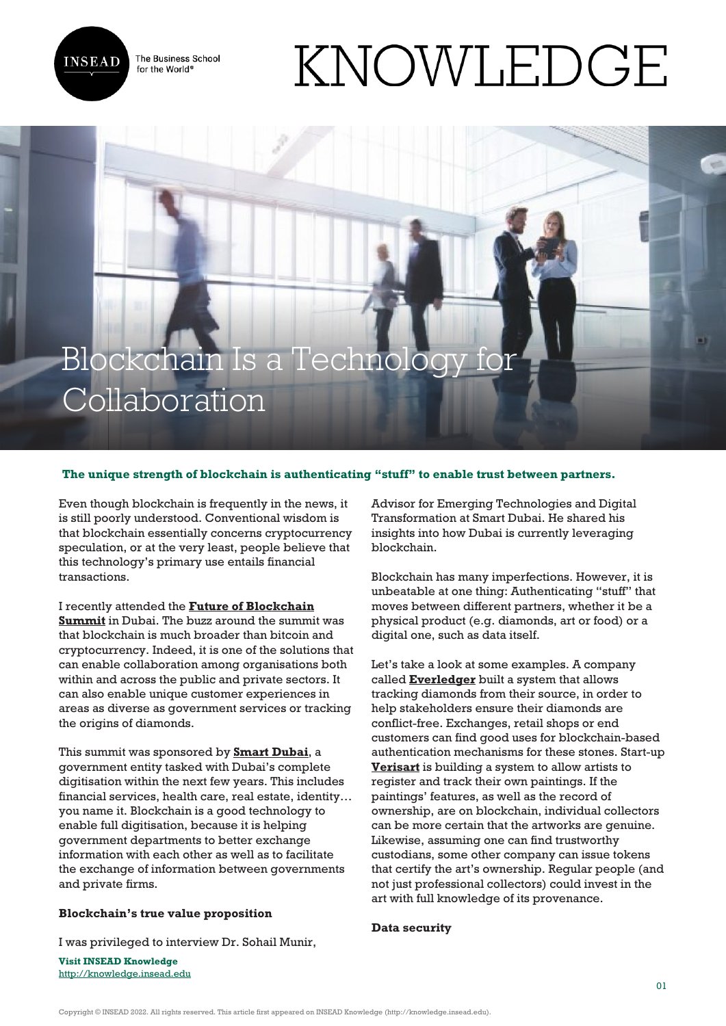

The Business School for the World<sup>®</sup>

# KNOWLEDGE

## Blockchain Is a Technology for Collaboration

### **The unique strength of blockchain is authenticating "stuff" to enable trust between partners.**

Even though blockchain is frequently in the news, it is still poorly understood. Conventional wisdom is that blockchain essentially concerns cryptocurrency speculation, or at the very least, people believe that this technology's primary use entails financial transactions.

I recently attended the **[Future of Blockchain](https://www.futureblockchainsummit.com/) [Summit](https://www.futureblockchainsummit.com/)** in Dubai. The buzz around the summit was that blockchain is much broader than bitcoin and cryptocurrency. Indeed, it is one of the solutions that can enable collaboration among organisations both within and across the public and private sectors. It can also enable unique customer experiences in areas as diverse as government services or tracking the origins of diamonds.

This summit was sponsored by **[Smart Dubai](https://www.smartdubai.ae/)**, a government entity tasked with Dubai's complete digitisation within the next few years. This includes financial services, health care, real estate, identity… you name it. Blockchain is a good technology to enable full digitisation, because it is helping government departments to better exchange information with each other as well as to facilitate the exchange of information between governments and private firms.

### **Blockchain's true value proposition**

I was privileged to interview Dr. Sohail Munir,

**Visit INSEAD Knowledge** <http://knowledge.insead.edu> Advisor for Emerging Technologies and Digital Transformation at Smart Dubai. He shared his insights into how Dubai is currently leveraging blockchain.

Blockchain has many imperfections. However, it is unbeatable at one thing: Authenticating "stuff" that moves between different partners, whether it be a physical product (e.g. diamonds, art or food) or a digital one, such as data itself.

Let's take a look at some examples. A company called **[Everledger](https://www.everledger.io/)** built a system that allows tracking diamonds from their source, in order to help stakeholders ensure their diamonds are conflict-free. Exchanges, retail shops or end customers can find good uses for blockchain-based authentication mechanisms for these stones. Start-up **[Verisart](https://verisart.com/)** is building a system to allow artists to register and track their own paintings. If the paintings' features, as well as the record of ownership, are on blockchain, individual collectors can be more certain that the artworks are genuine. Likewise, assuming one can find trustworthy custodians, some other company can issue tokens that certify the art's ownership. Regular people (and not just professional collectors) could invest in the art with full knowledge of its provenance.

#### **Data security**

Copyright © INSEAD 2022. All rights reserved. This article first appeared on INSEAD Knowledge (http://knowledge.insead.edu).